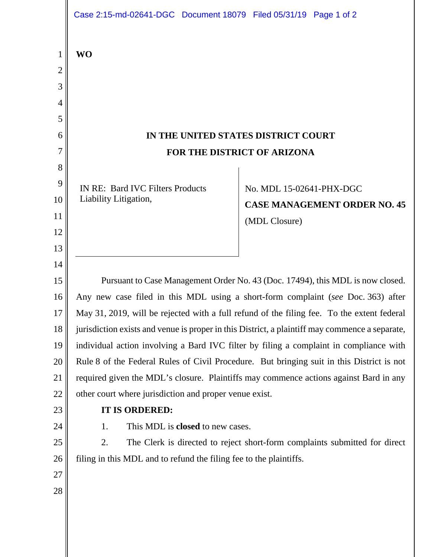|                                    | Case 2:15-md-02641-DGC Document 18079 Filed 05/31/19 Page 1 of 2                                                                                     |  |  |  |
|------------------------------------|------------------------------------------------------------------------------------------------------------------------------------------------------|--|--|--|
| 1<br>2<br>3<br>$\overline{4}$<br>5 | <b>WO</b>                                                                                                                                            |  |  |  |
| 6                                  | IN THE UNITED STATES DISTRICT COURT                                                                                                                  |  |  |  |
| 7                                  | FOR THE DISTRICT OF ARIZONA                                                                                                                          |  |  |  |
| 8<br>9<br>10<br>11                 | <b>IN RE: Bard IVC Filters Products</b><br>No. MDL 15-02641-PHX-DGC<br>Liability Litigation,<br><b>CASE MANAGEMENT ORDER NO. 45</b><br>(MDL Closure) |  |  |  |
| 12<br>13<br>14                     |                                                                                                                                                      |  |  |  |
| 15                                 | Pursuant to Case Management Order No. 43 (Doc. 17494), this MDL is now closed.                                                                       |  |  |  |
| 16                                 | Any new case filed in this MDL using a short-form complaint (see Doc. 363) after                                                                     |  |  |  |
| 17                                 | May 31, 2019, will be rejected with a full refund of the filing fee. To the extent federal                                                           |  |  |  |
| 18                                 | jurisdiction exists and venue is proper in this District, a plaintiff may commence a separate,                                                       |  |  |  |
| 19                                 | individual action involving a Bard IVC filter by filing a complaint in compliance with                                                               |  |  |  |
| 20                                 | Rule 8 of the Federal Rules of Civil Procedure. But bringing suit in this District is not                                                            |  |  |  |
| 21                                 | required given the MDL's closure. Plaintiffs may commence actions against Bard in any                                                                |  |  |  |
| 22                                 | other court where jurisdiction and proper venue exist.                                                                                               |  |  |  |
| 23                                 | IT IS ORDERED:                                                                                                                                       |  |  |  |
| 24                                 | This MDL is <b>closed</b> to new cases.<br>1.                                                                                                        |  |  |  |
| 25                                 | 2.<br>The Clerk is directed to reject short-form complaints submitted for direct                                                                     |  |  |  |
| 26                                 | filing in this MDL and to refund the filing fee to the plaintiffs.                                                                                   |  |  |  |
| 27                                 |                                                                                                                                                      |  |  |  |
| 28                                 |                                                                                                                                                      |  |  |  |